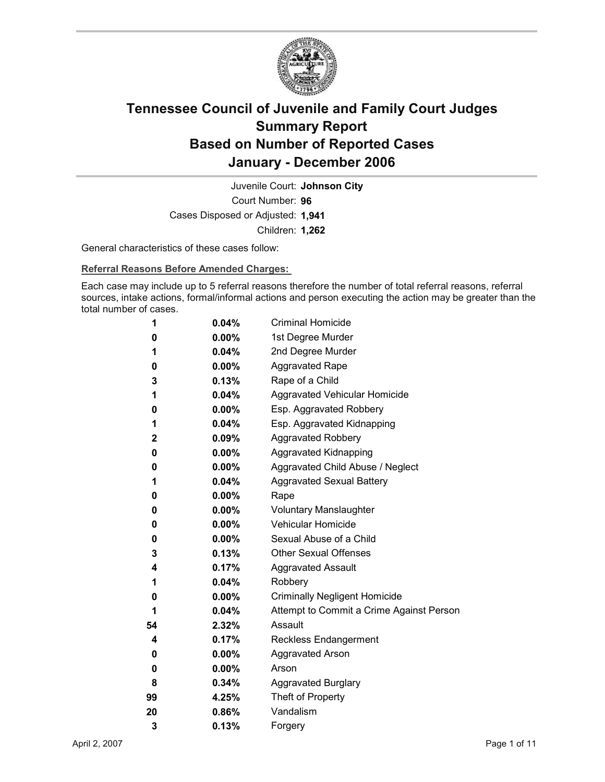

Court Number: **96** Juvenile Court: **Johnson City** Cases Disposed or Adjusted: **1,941** Children: **1,262**

General characteristics of these cases follow:

**Referral Reasons Before Amended Charges:** 

Each case may include up to 5 referral reasons therefore the number of total referral reasons, referral sources, intake actions, formal/informal actions and person executing the action may be greater than the total number of cases.

| 1            | 0.04%    | <b>Criminal Homicide</b>                 |
|--------------|----------|------------------------------------------|
| 0            | $0.00\%$ | 1st Degree Murder                        |
| 1            | $0.04\%$ | 2nd Degree Murder                        |
| 0            | $0.00\%$ | <b>Aggravated Rape</b>                   |
| 3            | 0.13%    | Rape of a Child                          |
| 1            | $0.04\%$ | Aggravated Vehicular Homicide            |
| 0            | $0.00\%$ | Esp. Aggravated Robbery                  |
| 1            | $0.04\%$ | Esp. Aggravated Kidnapping               |
| $\mathbf{2}$ | $0.09\%$ | <b>Aggravated Robbery</b>                |
| 0            | $0.00\%$ | <b>Aggravated Kidnapping</b>             |
| 0            | $0.00\%$ | Aggravated Child Abuse / Neglect         |
| 1            | $0.04\%$ | <b>Aggravated Sexual Battery</b>         |
| 0            | $0.00\%$ | Rape                                     |
| 0            | $0.00\%$ | <b>Voluntary Manslaughter</b>            |
| 0            | $0.00\%$ | <b>Vehicular Homicide</b>                |
| 0            | $0.00\%$ | Sexual Abuse of a Child                  |
| 3            | $0.13\%$ | <b>Other Sexual Offenses</b>             |
| 4            | $0.17\%$ | <b>Aggravated Assault</b>                |
| 1            | $0.04\%$ | Robbery                                  |
| 0            | $0.00\%$ | <b>Criminally Negligent Homicide</b>     |
| 1            | $0.04\%$ | Attempt to Commit a Crime Against Person |
| 54           | $2.32\%$ | Assault                                  |
| 4            | 0.17%    | <b>Reckless Endangerment</b>             |
| 0            | $0.00\%$ | <b>Aggravated Arson</b>                  |
| 0            | $0.00\%$ | Arson                                    |
| 8            | $0.34\%$ | <b>Aggravated Burglary</b>               |
| 99           | 4.25%    | Theft of Property                        |
| 20           | 0.86%    | Vandalism                                |
| 3            | 0.13%    | Forgery                                  |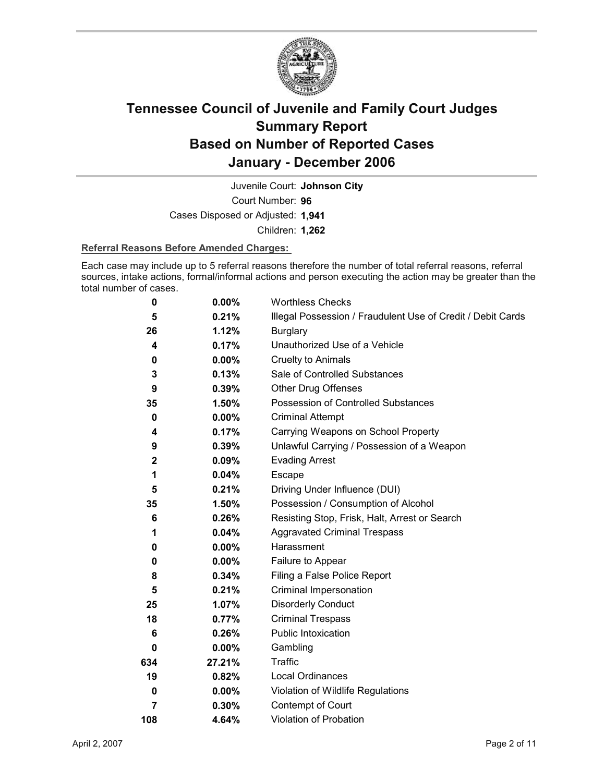

Juvenile Court: **Johnson City**

Court Number: **96**

Cases Disposed or Adjusted: **1,941**

Children: **1,262**

#### **Referral Reasons Before Amended Charges:**

Each case may include up to 5 referral reasons therefore the number of total referral reasons, referral sources, intake actions, formal/informal actions and person executing the action may be greater than the total number of cases.

| 0                | 0.00%    | <b>Worthless Checks</b>                                     |
|------------------|----------|-------------------------------------------------------------|
| 5                | 0.21%    | Illegal Possession / Fraudulent Use of Credit / Debit Cards |
| 26               | 1.12%    | <b>Burglary</b>                                             |
| 4                | 0.17%    | Unauthorized Use of a Vehicle                               |
| 0                | $0.00\%$ | <b>Cruelty to Animals</b>                                   |
| 3                | 0.13%    | Sale of Controlled Substances                               |
| 9                | 0.39%    | <b>Other Drug Offenses</b>                                  |
| 35               | 1.50%    | Possession of Controlled Substances                         |
| $\mathbf 0$      | $0.00\%$ | <b>Criminal Attempt</b>                                     |
| 4                | 0.17%    | Carrying Weapons on School Property                         |
| 9                | 0.39%    | Unlawful Carrying / Possession of a Weapon                  |
| $\boldsymbol{2}$ | 0.09%    | <b>Evading Arrest</b>                                       |
| 1                | 0.04%    | Escape                                                      |
| 5                | 0.21%    | Driving Under Influence (DUI)                               |
| 35               | 1.50%    | Possession / Consumption of Alcohol                         |
| 6                | 0.26%    | Resisting Stop, Frisk, Halt, Arrest or Search               |
| 1                | $0.04\%$ | <b>Aggravated Criminal Trespass</b>                         |
| 0                | $0.00\%$ | Harassment                                                  |
| 0                | $0.00\%$ | Failure to Appear                                           |
| 8                | 0.34%    | Filing a False Police Report                                |
| 5                | 0.21%    | Criminal Impersonation                                      |
| 25               | 1.07%    | <b>Disorderly Conduct</b>                                   |
| 18               | 0.77%    | <b>Criminal Trespass</b>                                    |
| 6                | 0.26%    | Public Intoxication                                         |
| 0                | $0.00\%$ | Gambling                                                    |
| 634              | 27.21%   | Traffic                                                     |
| 19               | 0.82%    | <b>Local Ordinances</b>                                     |
| 0                | $0.00\%$ | Violation of Wildlife Regulations                           |
| 7                | 0.30%    | Contempt of Court                                           |
| 108              | 4.64%    | Violation of Probation                                      |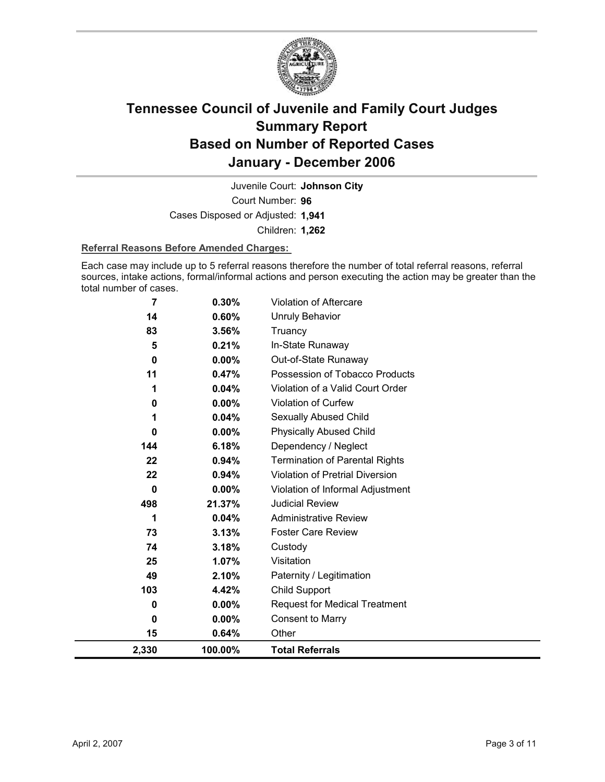

Court Number: **96** Juvenile Court: **Johnson City** Cases Disposed or Adjusted: **1,941** Children: **1,262**

#### **Referral Reasons Before Amended Charges:**

Each case may include up to 5 referral reasons therefore the number of total referral reasons, referral sources, intake actions, formal/informal actions and person executing the action may be greater than the total number of cases.

| 2,330 | 100.00%  | <b>Total Referrals</b>                 |
|-------|----------|----------------------------------------|
| 15    | 0.64%    | Other                                  |
| 0     | $0.00\%$ | <b>Consent to Marry</b>                |
| 0     | $0.00\%$ | <b>Request for Medical Treatment</b>   |
| 103   | 4.42%    | Child Support                          |
| 49    | 2.10%    | Paternity / Legitimation               |
| 25    | 1.07%    | Visitation                             |
| 74    | 3.18%    | Custody                                |
| 73    | 3.13%    | <b>Foster Care Review</b>              |
| 1     | 0.04%    | <b>Administrative Review</b>           |
| 498   | 21.37%   | <b>Judicial Review</b>                 |
| 0     | 0.00%    | Violation of Informal Adjustment       |
| 22    | 0.94%    | <b>Violation of Pretrial Diversion</b> |
| 22    | 0.94%    | <b>Termination of Parental Rights</b>  |
| 144   | 6.18%    | Dependency / Neglect                   |
| 0     | $0.00\%$ | <b>Physically Abused Child</b>         |
|       | 0.04%    | Sexually Abused Child                  |
| 0     | 0.00%    | Violation of Curfew                    |
|       | 0.04%    | Violation of a Valid Court Order       |
| 11    | 0.47%    | Possession of Tobacco Products         |
| 0     | $0.00\%$ | Out-of-State Runaway                   |
| 5     | 0.21%    | In-State Runaway                       |
| 83    | 3.56%    | <b>Unruly Behavior</b><br>Truancy      |
| 14    | 0.60%    |                                        |
| 7     | 0.30%    | <b>Violation of Aftercare</b>          |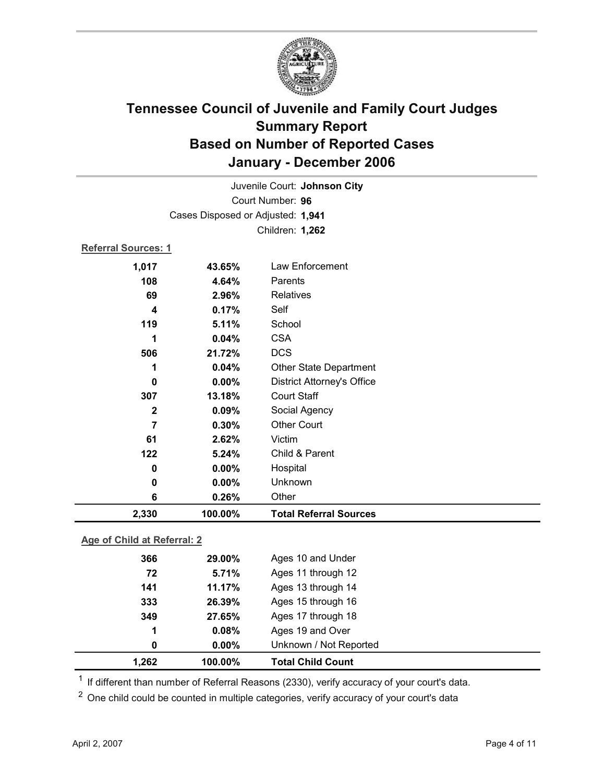

|                     |                                   | Juvenile Court: Johnson City      |
|---------------------|-----------------------------------|-----------------------------------|
|                     |                                   | Court Number: 96                  |
|                     | Cases Disposed or Adjusted: 1,941 |                                   |
|                     |                                   | Children: 1,262                   |
| Referral Sources: 1 |                                   |                                   |
| 1,017               | 43.65%                            | Law Enforcement                   |
| 108                 | 4.64%                             | Parents                           |
| 69                  | 2.96%                             | <b>Relatives</b>                  |
| 4                   | 0.17%                             | Self                              |
| 119                 | 5.11%                             | School                            |
| 1                   | 0.04%                             | <b>CSA</b>                        |
| 506                 | 21.72%                            | <b>DCS</b>                        |
| 1                   | 0.04%                             | <b>Other State Department</b>     |
| 0                   | 0.00%                             | <b>District Attorney's Office</b> |
| 307                 | 13.18%                            | <b>Court Staff</b>                |
| $\mathbf 2$         | 0.09%                             | Social Agency                     |
| $\overline{7}$      | 0.30%                             | <b>Other Court</b>                |
| 61                  | 2.62%                             | Victim                            |
| 122                 | 5.24%                             | Child & Parent                    |
| 0                   | $0.00\%$                          | Hospital                          |
| 0                   | 0.00%                             | Unknown                           |
| 6                   | 0.26%                             | Other                             |
| 2,330               | 100.00%                           | <b>Total Referral Sources</b>     |
|                     |                                   |                                   |

#### **Age of Child at Referral: 2**

| 1,262 | 100.00%  | <b>Total Child Count</b> |  |
|-------|----------|--------------------------|--|
| 0     | $0.00\%$ | Unknown / Not Reported   |  |
| 1     | 0.08%    | Ages 19 and Over         |  |
| 349   | 27.65%   | Ages 17 through 18       |  |
| 333   | 26.39%   | Ages 15 through 16       |  |
| 141   | 11.17%   | Ages 13 through 14       |  |
| 72    | 5.71%    | Ages 11 through 12       |  |
| 366   | 29.00%   | Ages 10 and Under        |  |
|       |          |                          |  |

 $1$  If different than number of Referral Reasons (2330), verify accuracy of your court's data.

<sup>2</sup> One child could be counted in multiple categories, verify accuracy of your court's data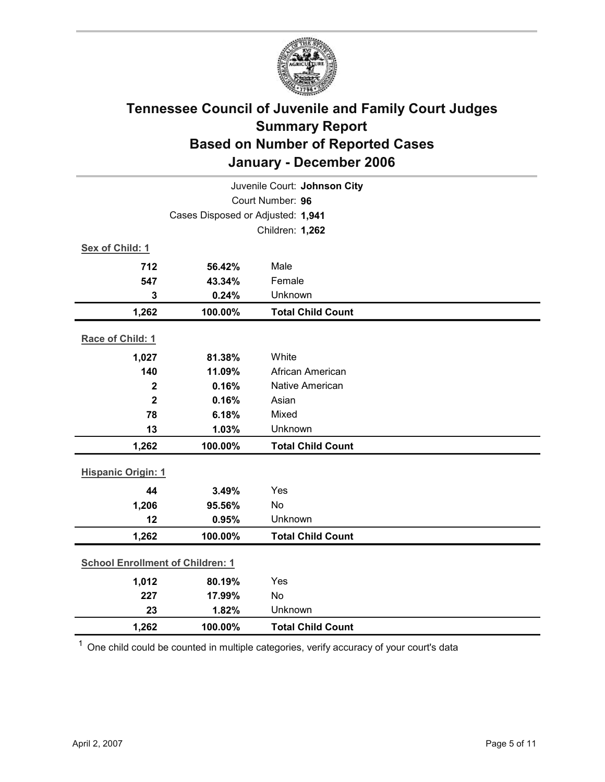

| Juvenile Court: Johnson City      |                                         |                          |  |  |
|-----------------------------------|-----------------------------------------|--------------------------|--|--|
|                                   | Court Number: 96                        |                          |  |  |
| Cases Disposed or Adjusted: 1,941 |                                         |                          |  |  |
|                                   |                                         | Children: 1,262          |  |  |
| Sex of Child: 1                   |                                         |                          |  |  |
| 712                               | 56.42%                                  | Male                     |  |  |
| 547                               | 43.34%                                  | Female                   |  |  |
| 3                                 | 0.24%                                   | Unknown                  |  |  |
| 1,262                             | 100.00%                                 | <b>Total Child Count</b> |  |  |
| Race of Child: 1                  |                                         |                          |  |  |
| 1,027                             | 81.38%                                  | White                    |  |  |
| 140                               | 11.09%                                  | African American         |  |  |
| $\mathbf 2$                       | 0.16%                                   | Native American          |  |  |
| $\overline{2}$                    | 0.16%                                   | Asian                    |  |  |
| 78                                | 6.18%                                   | Mixed                    |  |  |
| 13                                | 1.03%                                   | Unknown                  |  |  |
| 1,262                             | 100.00%                                 | <b>Total Child Count</b> |  |  |
| <b>Hispanic Origin: 1</b>         |                                         |                          |  |  |
|                                   |                                         |                          |  |  |
| 44                                | 3.49%                                   | Yes                      |  |  |
| 1,206<br>12                       | 95.56%                                  | <b>No</b><br>Unknown     |  |  |
|                                   | 0.95%                                   |                          |  |  |
| 1,262                             | 100.00%                                 | <b>Total Child Count</b> |  |  |
|                                   | <b>School Enrollment of Children: 1</b> |                          |  |  |
| 1,012                             | 80.19%                                  | Yes                      |  |  |
| 227                               | 17.99%                                  | No                       |  |  |
| 23                                | 1.82%                                   | Unknown                  |  |  |
| 1,262                             | 100.00%                                 | <b>Total Child Count</b> |  |  |

 $1$  One child could be counted in multiple categories, verify accuracy of your court's data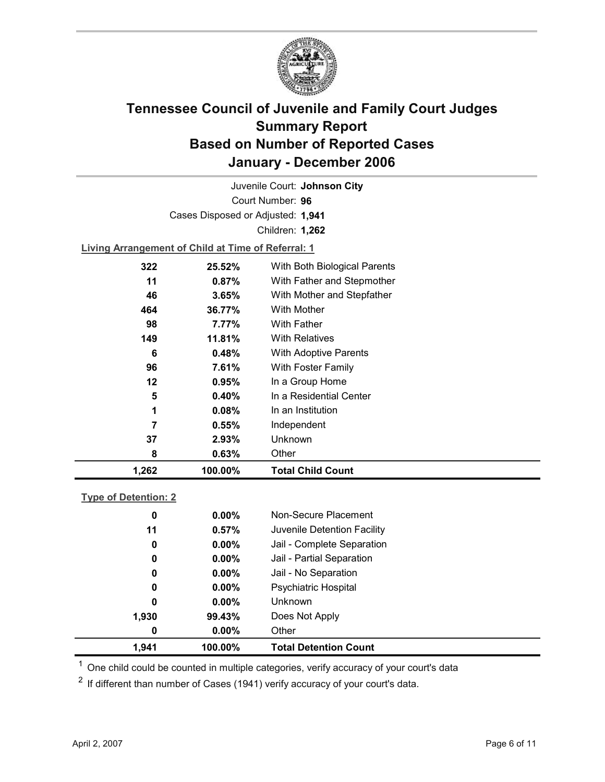

Court Number: **96** Juvenile Court: **Johnson City** Cases Disposed or Adjusted: **1,941** Children: **1,262**

**Living Arrangement of Child at Time of Referral: 1**

| 1,262 | 100.00% | <b>Total Child Count</b>     |  |
|-------|---------|------------------------------|--|
| 8     | 0.63%   | Other                        |  |
| 37    | 2.93%   | Unknown                      |  |
| 7     | 0.55%   | Independent                  |  |
| 1     | 0.08%   | In an Institution            |  |
| 5     | 0.40%   | In a Residential Center      |  |
| 12    | 0.95%   | In a Group Home              |  |
| 96    | 7.61%   | With Foster Family           |  |
| 6     | 0.48%   | <b>With Adoptive Parents</b> |  |
| 149   | 11.81%  | <b>With Relatives</b>        |  |
| 98    | 7.77%   | <b>With Father</b>           |  |
| 464   | 36.77%  | With Mother                  |  |
| 46    | 3.65%   | With Mother and Stepfather   |  |
| 11    | 0.87%   | With Father and Stepmother   |  |
| 322   | 25.52%  | With Both Biological Parents |  |
|       |         |                              |  |

#### **Type of Detention: 2**

| 1,941       | 100.00%  | <b>Total Detention Count</b> |  |
|-------------|----------|------------------------------|--|
| 0           | $0.00\%$ | Other                        |  |
| 1,930       | 99.43%   | Does Not Apply               |  |
| 0           | $0.00\%$ | <b>Unknown</b>               |  |
| 0           | $0.00\%$ | <b>Psychiatric Hospital</b>  |  |
| 0           | $0.00\%$ | Jail - No Separation         |  |
| $\mathbf 0$ | $0.00\%$ | Jail - Partial Separation    |  |
| 0           | $0.00\%$ | Jail - Complete Separation   |  |
| 11          | 0.57%    | Juvenile Detention Facility  |  |
| 0           | $0.00\%$ | Non-Secure Placement         |  |
|             |          |                              |  |

 $<sup>1</sup>$  One child could be counted in multiple categories, verify accuracy of your court's data</sup>

 $2$  If different than number of Cases (1941) verify accuracy of your court's data.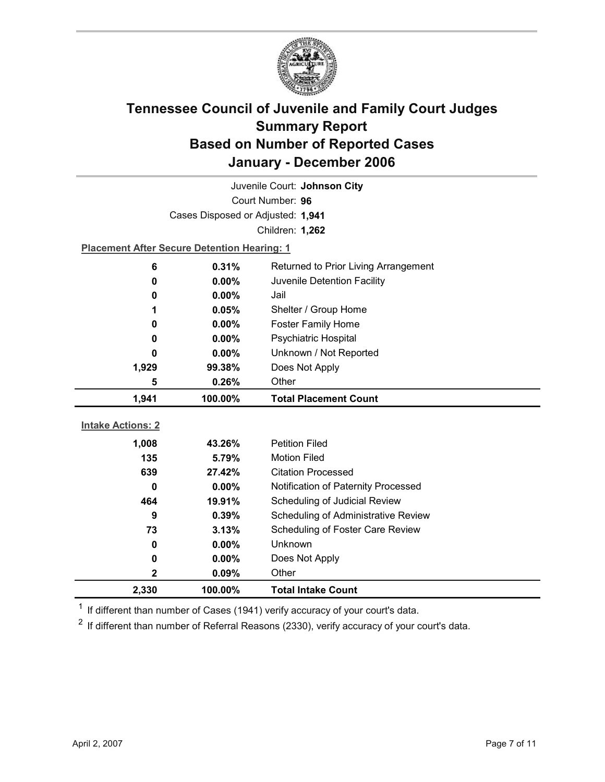

| Juvenile Court: Johnson City |                                                    |                                      |  |  |
|------------------------------|----------------------------------------------------|--------------------------------------|--|--|
| Court Number: 96             |                                                    |                                      |  |  |
|                              | Cases Disposed or Adjusted: 1,941                  |                                      |  |  |
|                              |                                                    | Children: 1,262                      |  |  |
|                              | <b>Placement After Secure Detention Hearing: 1</b> |                                      |  |  |
| 6                            | 0.31%                                              | Returned to Prior Living Arrangement |  |  |
| 0                            | 0.00%                                              | Juvenile Detention Facility          |  |  |
| 0                            | 0.00%                                              | Jail                                 |  |  |
| 1                            | 0.05%                                              | Shelter / Group Home                 |  |  |
| 0                            | 0.00%                                              | <b>Foster Family Home</b>            |  |  |
| 0                            | $0.00\%$                                           | Psychiatric Hospital                 |  |  |
| 0                            | $0.00\%$                                           | Unknown / Not Reported               |  |  |
| 1,929                        | 99.38%                                             | Does Not Apply                       |  |  |
| 5                            | 0.26%                                              | Other                                |  |  |
|                              |                                                    |                                      |  |  |
| 1,941                        | 100.00%                                            | <b>Total Placement Count</b>         |  |  |
|                              |                                                    |                                      |  |  |
| <b>Intake Actions: 2</b>     |                                                    |                                      |  |  |
| 1,008                        | 43.26%                                             | <b>Petition Filed</b>                |  |  |
| 135                          | 5.79%                                              | <b>Motion Filed</b>                  |  |  |
| 639                          | 27.42%                                             | <b>Citation Processed</b>            |  |  |
| 0                            | 0.00%                                              | Notification of Paternity Processed  |  |  |
| 464                          | 19.91%                                             | Scheduling of Judicial Review        |  |  |
| 9                            | 0.39%                                              | Scheduling of Administrative Review  |  |  |
| 73                           | 3.13%                                              | Scheduling of Foster Care Review     |  |  |
| 0                            | 0.00%                                              | Unknown                              |  |  |
| 0                            | $0.00\%$                                           | Does Not Apply                       |  |  |
| $\mathbf 2$<br>2,330         | 0.09%                                              | Other                                |  |  |

 $1$  If different than number of Cases (1941) verify accuracy of your court's data.

 $2$  If different than number of Referral Reasons (2330), verify accuracy of your court's data.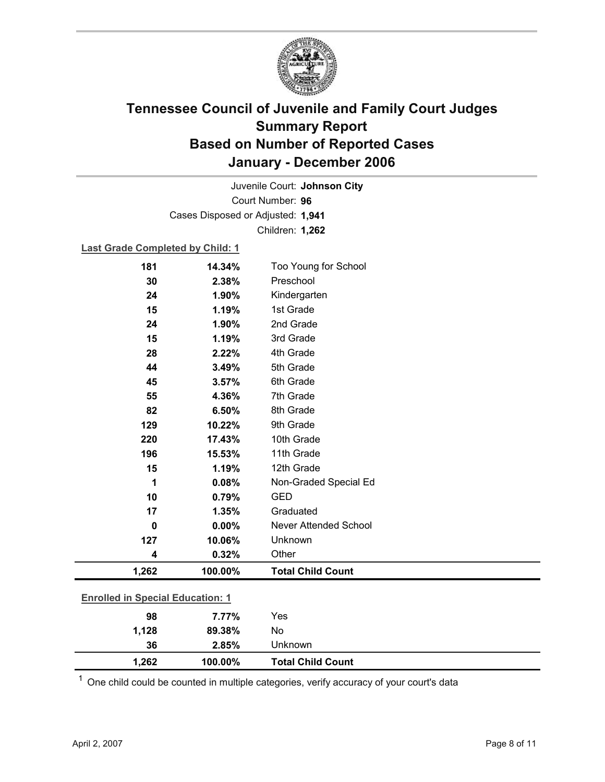

Court Number: **96** Juvenile Court: **Johnson City** Cases Disposed or Adjusted: **1,941** Children: **1,262**

#### **Last Grade Completed by Child: 1**

| 181                                     | 14.34%  | Too Young for School     |  |
|-----------------------------------------|---------|--------------------------|--|
| 30                                      | 2.38%   | Preschool                |  |
| 24                                      | 1.90%   | Kindergarten             |  |
| 15                                      | 1.19%   | 1st Grade                |  |
| 24                                      | 1.90%   | 2nd Grade                |  |
| 15                                      | 1.19%   | 3rd Grade                |  |
| 28                                      | 2.22%   | 4th Grade                |  |
| 44                                      | 3.49%   | 5th Grade                |  |
| 45                                      | 3.57%   | 6th Grade                |  |
| 55                                      | 4.36%   | 7th Grade                |  |
| 82                                      | 6.50%   | 8th Grade                |  |
| 129                                     | 10.22%  | 9th Grade                |  |
| 220                                     | 17.43%  | 10th Grade               |  |
| 196                                     | 15.53%  | 11th Grade               |  |
| 15                                      | 1.19%   | 12th Grade               |  |
| 1                                       | 0.08%   | Non-Graded Special Ed    |  |
| 10                                      | 0.79%   | <b>GED</b>               |  |
| 17                                      | 1.35%   | Graduated                |  |
| $\mathbf 0$                             | 0.00%   | Never Attended School    |  |
| 127                                     | 10.06%  | Unknown                  |  |
| 4                                       | 0.32%   | Other                    |  |
| 1,262                                   | 100.00% | <b>Total Child Count</b> |  |
| <b>Enrolled in Special Education: 1</b> |         |                          |  |
|                                         |         |                          |  |
| 98                                      | 7.77%   | Yes                      |  |
| 1,128                                   | 89.38%  | No                       |  |
| 36                                      | 2.85%   | Unknown                  |  |

 $1$  One child could be counted in multiple categories, verify accuracy of your court's data

**1,262 100.00% Total Child Count**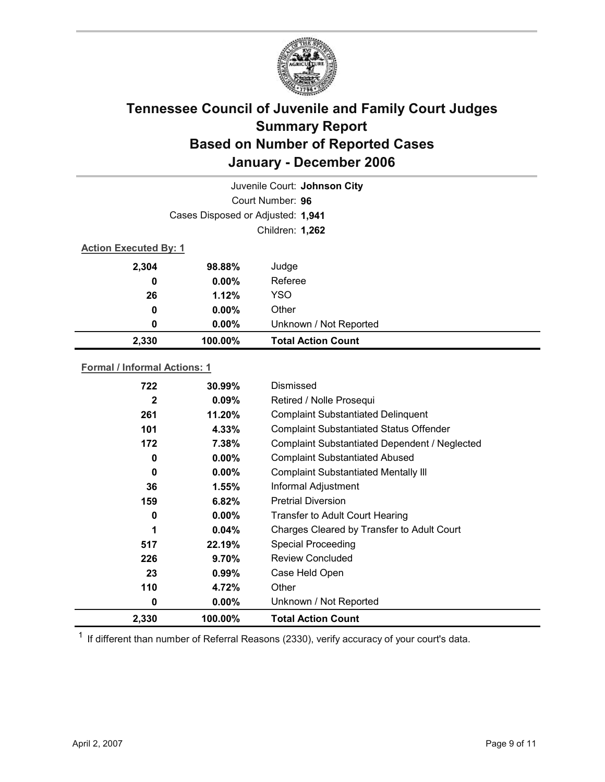

| Juvenile Court: Johnson City        |                 |                           |  |
|-------------------------------------|-----------------|---------------------------|--|
| Court Number: 96                    |                 |                           |  |
| Cases Disposed or Adjusted: 1,941   |                 |                           |  |
|                                     | Children: 1,262 |                           |  |
| <b>Action Executed By: 1</b>        |                 |                           |  |
| 2,304                               | 98.88%          | Judge                     |  |
| 0                                   | $0.00\%$        | Referee                   |  |
| 26                                  | 1.12%           | <b>YSO</b>                |  |
| 0                                   | $0.00\%$        | Other                     |  |
| 0                                   | $0.00\%$        | Unknown / Not Reported    |  |
| 2,330                               | 100.00%         | <b>Total Action Count</b> |  |
| <b>Formal / Informal Actions: 1</b> |                 |                           |  |
| 722                                 | $30.99\%$       | Dismissed                 |  |

| 2,330        | 100.00%        | <b>Total Action Count</b>                            |
|--------------|----------------|------------------------------------------------------|
| 0            | $0.00\%$       | Unknown / Not Reported                               |
| 110          | 4.72%          | Other                                                |
| 23           | 0.99%          | Case Held Open                                       |
| 226          | 9.70%          | <b>Review Concluded</b>                              |
| 517          | 22.19%         | Special Proceeding                                   |
| 1            | $0.04\%$       | Charges Cleared by Transfer to Adult Court           |
| 0            | $0.00\%$       | Transfer to Adult Court Hearing                      |
| 159          | 6.82%          | <b>Pretrial Diversion</b>                            |
| 36           | $1.55\%$       | Informal Adjustment                                  |
| 0            | $0.00\%$       | <b>Complaint Substantiated Mentally III</b>          |
| 0            | $0.00\%$       | <b>Complaint Substantiated Abused</b>                |
| 172          | 7.38%          | <b>Complaint Substantiated Dependent / Neglected</b> |
| 101          | 4.33%          | <b>Complaint Substantiated Status Offender</b>       |
| 261          | 11.20%         | <b>Complaint Substantiated Delinquent</b>            |
| $\mathbf{2}$ | $0.09\%$       | Retired / Nolle Prosequi                             |
| 144          | <b>JU.JJ</b> % | рынгээсч                                             |

 $1$  If different than number of Referral Reasons (2330), verify accuracy of your court's data.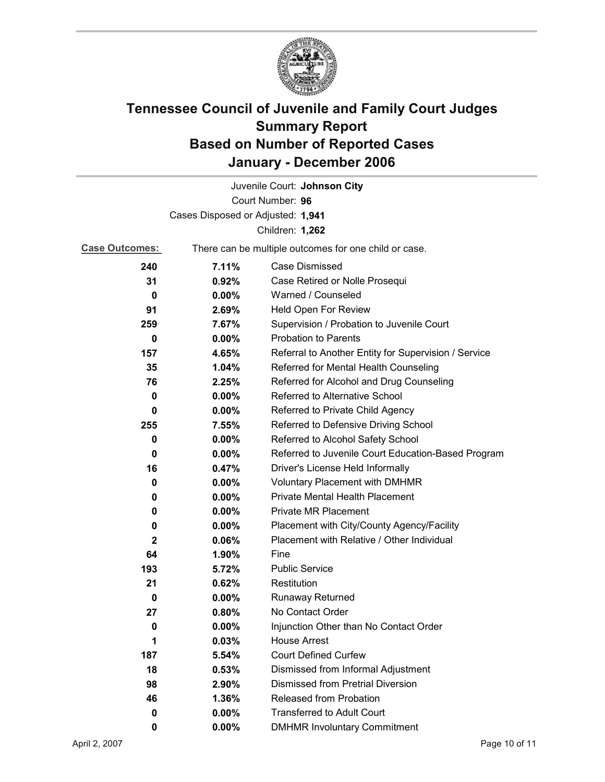

|                       |                                                       | Juvenile Court: Johnson City                         |  |
|-----------------------|-------------------------------------------------------|------------------------------------------------------|--|
| Court Number: 96      |                                                       |                                                      |  |
|                       | Cases Disposed or Adjusted: 1,941                     |                                                      |  |
|                       |                                                       | Children: 1,262                                      |  |
| <b>Case Outcomes:</b> | There can be multiple outcomes for one child or case. |                                                      |  |
| 240                   | 7.11%                                                 | Case Dismissed                                       |  |
| 31                    | 0.92%                                                 | Case Retired or Nolle Prosequi                       |  |
| 0                     | $0.00\%$                                              | Warned / Counseled                                   |  |
| 91                    | 2.69%                                                 | <b>Held Open For Review</b>                          |  |
| 259                   | 7.67%                                                 | Supervision / Probation to Juvenile Court            |  |
| 0                     | $0.00\%$                                              | <b>Probation to Parents</b>                          |  |
| 157                   | 4.65%                                                 | Referral to Another Entity for Supervision / Service |  |
| 35                    | 1.04%                                                 | Referred for Mental Health Counseling                |  |
| 76                    | 2.25%                                                 | Referred for Alcohol and Drug Counseling             |  |
| 0                     | 0.00%                                                 | <b>Referred to Alternative School</b>                |  |
| 0                     | $0.00\%$                                              | Referred to Private Child Agency                     |  |
| 255                   | 7.55%                                                 | Referred to Defensive Driving School                 |  |
| 0                     | $0.00\%$                                              | Referred to Alcohol Safety School                    |  |
| 0                     | $0.00\%$                                              | Referred to Juvenile Court Education-Based Program   |  |
| 16                    | 0.47%                                                 | Driver's License Held Informally                     |  |
| 0                     | $0.00\%$                                              | <b>Voluntary Placement with DMHMR</b>                |  |
| 0                     | $0.00\%$                                              | <b>Private Mental Health Placement</b>               |  |
| 0                     | $0.00\%$                                              | <b>Private MR Placement</b>                          |  |
| 0                     | $0.00\%$                                              | Placement with City/County Agency/Facility           |  |
| 2                     | 0.06%                                                 | Placement with Relative / Other Individual           |  |
| 64                    | 1.90%                                                 | Fine                                                 |  |
| 193                   | 5.72%                                                 | <b>Public Service</b>                                |  |
| 21                    | 0.62%                                                 | Restitution                                          |  |
| 0                     | $0.00\%$                                              | Runaway Returned                                     |  |
| 27                    | 0.80%                                                 | No Contact Order                                     |  |
| 0                     | 0.00%                                                 | Injunction Other than No Contact Order               |  |
| 1                     | 0.03%                                                 | <b>House Arrest</b>                                  |  |
| 187                   | 5.54%                                                 | <b>Court Defined Curfew</b>                          |  |
| 18                    | 0.53%                                                 | Dismissed from Informal Adjustment                   |  |
| 98                    | 2.90%                                                 | <b>Dismissed from Pretrial Diversion</b>             |  |
| 46                    | 1.36%                                                 | Released from Probation                              |  |
| 0                     | $0.00\%$                                              | <b>Transferred to Adult Court</b>                    |  |
| 0                     | 0.00%                                                 | <b>DMHMR Involuntary Commitment</b>                  |  |